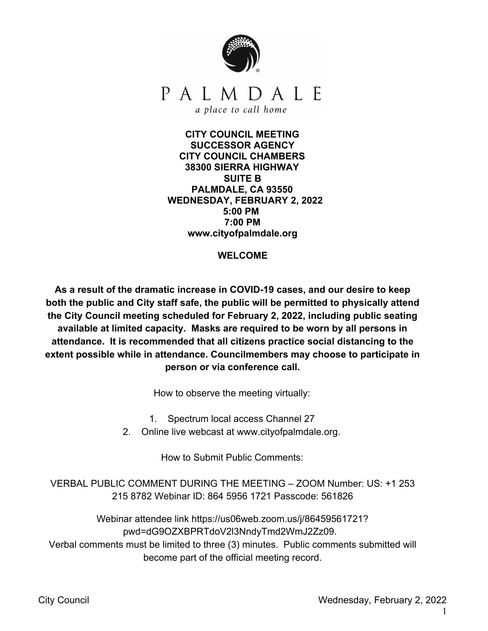

**CITY COUNCIL MEETING SUCCESSOR AGENCY CITY COUNCIL CHAMBERS 38300 SIERRA HIGHWAY SUITE B PALMDALE, CA 93550 WEDNESDAY, FEBRUARY 2, 2022 5:00 PM 7:00 PM www.cityofpalmdale.org**

### **WELCOME**

**As a result of the dramatic increase in COVID-19 cases, and our desire to keep both the public and City staff safe, the public will be permitted to physically attend the City Council meeting scheduled for February 2, 2022, including public seating available at limited capacity. Masks are required to be worn by all persons in attendance. It is recommended that all citizens practice social distancing to the extent possible while in attendance. Councilmembers may choose to participate in person or via conference call.**

How to observe the meeting virtually:

1. Spectrum local access Channel 27

2. Online live webcast at www.cityofpalmdale.org.

How to Submit Public Comments:

VERBAL PUBLIC COMMENT DURING THE MEETING – ZOOM Number: US: +1 253 215 8782 Webinar ID: 864 5956 1721 Passcode: 561826

Webinar attendee link https://us06web.zoom.us/j/86459561721? pwd=dG9OZXBPRTdoV2l3NndyTmd2WmJ2Zz09. Verbal comments must be limited to three (3) minutes. Public comments submitted will become part of the official meeting record.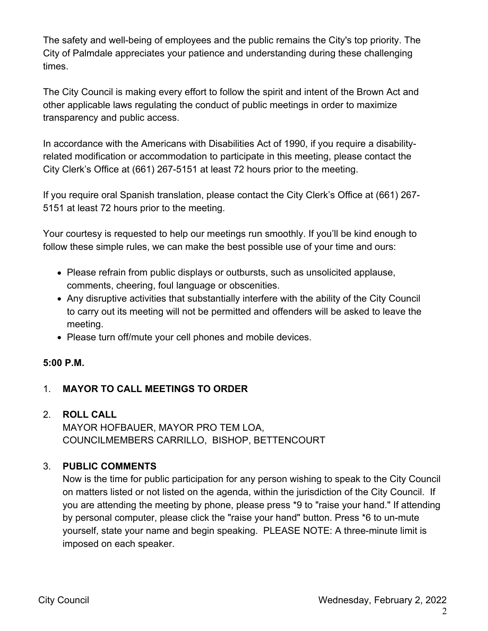The safety and well-being of employees and the public remains the City's top priority. The City of Palmdale appreciates your patience and understanding during these challenging times.

The City Council is making every effort to follow the spirit and intent of the Brown Act and other applicable laws regulating the conduct of public meetings in order to maximize transparency and public access.

In accordance with the Americans with Disabilities Act of 1990, if you require a disabilityrelated modification or accommodation to participate in this meeting, please contact the City Clerk's Office at (661) 267-5151 at least 72 hours prior to the meeting.

If you require oral Spanish translation, please contact the City Clerk's Office at (661) 267- 5151 at least 72 hours prior to the meeting.

Your courtesy is requested to help our meetings run smoothly. If you'll be kind enough to follow these simple rules, we can make the best possible use of your time and ours:

- Please refrain from public displays or outbursts, such as unsolicited applause, comments, cheering, foul language or obscenities.
- Any disruptive activities that substantially interfere with the ability of the City Council to carry out its meeting will not be permitted and offenders will be asked to leave the meeting.
- Please turn off/mute your cell phones and mobile devices.

# **5:00 P.M.**

# 1. **MAYOR TO CALL MEETINGS TO ORDER**

# 2. **ROLL CALL** MAYOR HOFBAUER, MAYOR PRO TEM LOA,

COUNCILMEMBERS CARRILLO, BISHOP, BETTENCOURT

# 3. **PUBLIC COMMENTS**

Now is the time for public participation for any person wishing to speak to the City Council on matters listed or not listed on the agenda, within the jurisdiction of the City Council. If you are attending the meeting by phone, please press \*9 to "raise your hand." If attending by personal computer, please click the "raise your hand" button. Press \*6 to un-mute yourself, state your name and begin speaking. PLEASE NOTE: A three-minute limit is imposed on each speaker.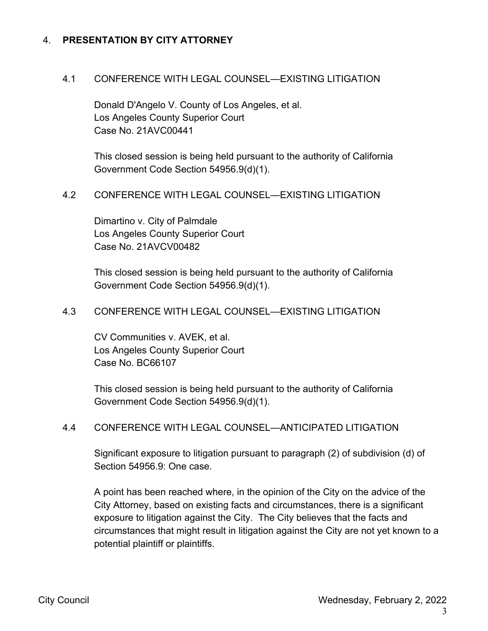### 4. **PRESENTATION BY CITY ATTORNEY**

### 4.1 CONFERENCE WITH LEGAL COUNSEL—EXISTING LITIGATION

Donald D'Angelo V. County of Los Angeles, et al. Los Angeles County Superior Court Case No. 21AVC00441

This closed session is being held pursuant to the authority of California Government Code Section 54956.9(d)(1).

#### 4.2 CONFERENCE WITH LEGAL COUNSEL—EXISTING LITIGATION

Dimartino v. City of Palmdale Los Angeles County Superior Court Case No. 21AVCV00482

This closed session is being held pursuant to the authority of California Government Code Section 54956.9(d)(1).

### 4.3 CONFERENCE WITH LEGAL COUNSEL—EXISTING LITIGATION

CV Communities v. AVEK, et al. Los Angeles County Superior Court Case No. BC66107

This closed session is being held pursuant to the authority of California Government Code Section 54956.9(d)(1).

#### 4.4 CONFERENCE WITH LEGAL COUNSEL—ANTICIPATED LITIGATION

Significant exposure to litigation pursuant to paragraph (2) of subdivision (d) of Section 54956.9: One case.

A point has been reached where, in the opinion of the City on the advice of the City Attorney, based on existing facts and circumstances, there is a significant exposure to litigation against the City. The City believes that the facts and circumstances that might result in litigation against the City are not yet known to a potential plaintiff or plaintiffs.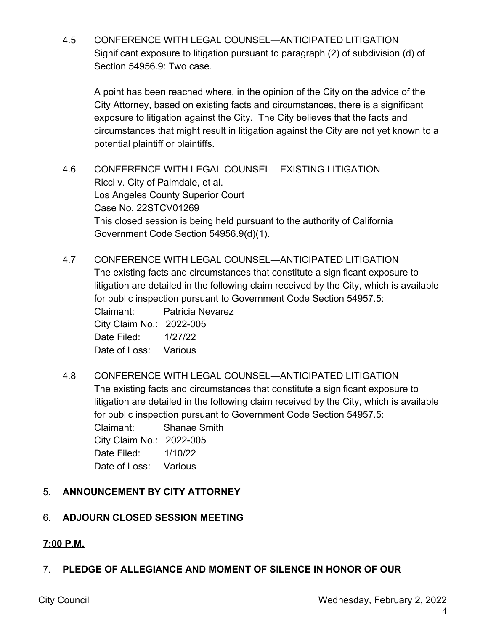4.5 CONFERENCE WITH LEGAL COUNSEL—ANTICIPATED LITIGATION Significant exposure to litigation pursuant to paragraph (2) of subdivision (d) of Section 54956.9: Two case.

A point has been reached where, in the opinion of the City on the advice of the City Attorney, based on existing facts and circumstances, there is a significant exposure to litigation against the City. The City believes that the facts and circumstances that might result in litigation against the City are not yet known to a potential plaintiff or plaintiffs.

4.6 CONFERENCE WITH LEGAL COUNSEL—EXISTING LITIGATION Ricci v. City of Palmdale, et al. Los Angeles County Superior Court Case No. 22STCV01269 This closed session is being held pursuant to the authority of California Government Code Section 54956.9(d)(1).

4.7 CONFERENCE WITH LEGAL COUNSEL—ANTICIPATED LITIGATION The existing facts and circumstances that constitute a significant exposure to litigation are detailed in the following claim received by the City, which is available for public inspection pursuant to Government Code Section 54957.5: Claimant: Patricia Nevarez City Claim No.: 2022-005 Date Filed: 1/27/22

Date of Loss: Various

4.8 CONFERENCE WITH LEGAL COUNSEL—ANTICIPATED LITIGATION The existing facts and circumstances that constitute a significant exposure to litigation are detailed in the following claim received by the City, which is available for public inspection pursuant to Government Code Section 54957.5: Claimant: Shanae Smith City Claim No.: 2022-005 Date Filed: 1/10/22 Date of Loss: Various

# 5. **ANNOUNCEMENT BY CITY ATTORNEY**

# 6. **ADJOURN CLOSED SESSION MEETING**

# **7:00 P.M.**

# 7. **PLEDGE OF ALLEGIANCE AND MOMENT OF SILENCE IN HONOR OF OUR**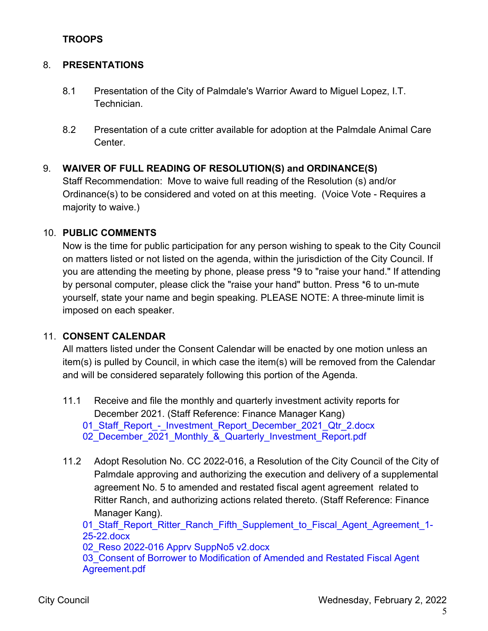### **TROOPS**

### 8. **PRESENTATIONS**

- 8.1 Presentation of the City of Palmdale's Warrior Award to Miguel Lopez, I.T. Technician.
- 8.2 Presentation of a cute critter available for adoption at the Palmdale Animal Care Center.

### 9. **WAIVER OF FULL READING OF RESOLUTION(S) and ORDINANCE(S)**

Staff Recommendation: Move to waive full reading of the Resolution (s) and/or Ordinance(s) to be considered and voted on at this meeting. (Voice Vote - Requires a majority to waive.)

### 10. **PUBLIC COMMENTS**

Now is the time for public participation for any person wishing to speak to the City Council on matters listed or not listed on the agenda, within the jurisdiction of the City Council. If you are attending the meeting by phone, please press \*9 to "raise your hand." If attending by personal computer, please click the "raise your hand" button. Press \*6 to un-mute yourself, state your name and begin speaking. PLEASE NOTE: A three-minute limit is imposed on each speaker.

### 11. **CONSENT CALENDAR**

All matters listed under the Consent Calendar will be enacted by one motion unless an item(s) is pulled by Council, in which case the item(s) will be removed from the Calendar and will be considered separately following this portion of the Agenda.

- 11.1 Receive and file the monthly and quarterly investment activity reports for December 2021. (Staff Reference: Finance Manager Kang) 01 Staff Report - Investment Report December 2021 Qtr 2.docx 02 December 2021 Monthly & Quarterly Investment Report.pdf
- 11.2 Adopt Resolution No. CC 2022-016, a Resolution of the City Council of the City of Palmdale approving and authorizing the execution and delivery of a supplemental agreement No. 5 to amended and restated fiscal agent agreement related to Ritter Ranch, and authorizing actions related thereto. (Staff Reference: Finance Manager Kang).

01 Staff Report Ritter Ranch Fifth Supplement to Fiscal Agent Agreement 1-25-22.docx

02 Reso [2022-016](https://legistarweb-production.s3.amazonaws.com/uploads/attachment/pdf/1225726/02_Reso_2022-016_Apprv_SuppNo5_v2.pdf) Apprv SuppNo5 v2.docx

03 Consent of Borrower to Modification of Amended and Restated Fiscal Agent [Agreement.pdf](https://legistarweb-production.s3.amazonaws.com/uploads/attachment/pdf/1208055/03_Consent_of_Borrower_to_Modification_of_Amended_and_Restated_Fiscal_Agent_Agreement.pdf)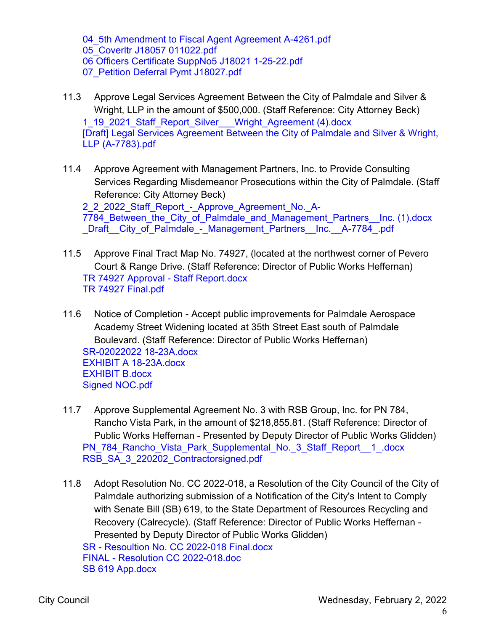04 5th [Amendment](https://legistarweb-production.s3.amazonaws.com/uploads/attachment/pdf/1208056/04_5th_Amendment_to_Fiscal_Agent_Agreement_A-4261.pdf) to Fiscal Agent Agreement A-4261.pdf [05\\_Coverltr](https://legistarweb-production.s3.amazonaws.com/uploads/attachment/pdf/1208057/05_Coverltr_J18057_011022.pdf) J18057 011022.pdf 06 Officers Certificate SuppNo5 J18021 [1-25-22.pdf](https://legistarweb-production.s3.amazonaws.com/uploads/attachment/pdf/1222420/06_Officers_Certificate_SuppNo5_J18021_1-25-22.pdf) 07 Petition Deferral Pymt J18027.pdf

- 11.3 Approve Legal Services Agreement Between the City of Palmdale and Silver & Wright, LLP in the amount of \$500,000. (Staff Reference: City Attorney Beck) [1\\_19\\_2021\\_Staff\\_Report\\_Silver\\_\\_\\_Wright\\_Agreement](https://legistarweb-production.s3.amazonaws.com/uploads/attachment/pdf/1220686/1_19_2021_Staff_Report_Silver___Wright_Agreement__4_.pdf) (4).docx [Draft] Legal Services Agreement Between the City of Palmdale and Silver & Wright, LLP [\(A-7783\).pdf](https://legistarweb-production.s3.amazonaws.com/uploads/attachment/pdf/1224202/_Draft__Legal_Services_Agreement_Between_the_City_of_Palmdale_and_Silver___Wright__LLP__A-7783_.pdf)
- 11.4 Approve Agreement with Management Partners, Inc. to Provide Consulting Services Regarding Misdemeanor Prosecutions within the City of Palmdale. (Staff Reference: City Attorney Beck)

2\_2\_2022\_Staff\_Report - Approve\_Agreement\_No.\_A-7784 Between the City of Palmdale and Management Partners Inc. (1).docx [\\_Draft\\_\\_City\\_of\\_Palmdale\\_-\\_Management\\_Partners\\_\\_Inc.\\_\\_A-7784\\_.pdf](https://legistarweb-production.s3.amazonaws.com/uploads/attachment/pdf/1217044/_Draft__City_of_Palmdale_-_Management_Partners__Inc.__A-7784_.pdf)

- 11.5 Approve Final Tract Map No. 74927, (located at the northwest corner of Pevero Court & Range Drive. (Staff Reference: Director of Public Works Heffernan) TR 74927 Approval - Staff [Report.docx](https://legistarweb-production.s3.amazonaws.com/uploads/attachment/pdf/1219824/TR_74927_Approval_-_Staff_Report.pdf) TR 74927 [Final.pdf](https://legistarweb-production.s3.amazonaws.com/uploads/attachment/pdf/1202509/TR_74927_Final.pdf)
- 11.6 Notice of Completion Accept public improvements for Palmdale Aerospace Academy Street Widening located at 35th Street East south of Palmdale Boulevard. (Staff Reference: Director of Public Works Heffernan) [SR-02022022](https://legistarweb-production.s3.amazonaws.com/uploads/attachment/pdf/1219818/SR-02022022_18-23A.pdf) 18-23A.docx EXHIBIT A [18-23A.docx](https://legistarweb-production.s3.amazonaws.com/uploads/attachment/pdf/1202520/EXHIBIT_A_18-23A.pdf) [EXHIBIT](https://legistarweb-production.s3.amazonaws.com/uploads/attachment/pdf/1202522/EXHIBIT_B.pdf) B.docx Signed [NOC.pdf](https://legistarweb-production.s3.amazonaws.com/uploads/attachment/pdf/1202537/Signed_NOC.pdf)
- 11.7 Approve Supplemental Agreement No. 3 with RSB Group, Inc. for PN 784, Rancho Vista Park, in the amount of \$218,855.81. (Staff Reference: Director of Public Works Heffernan - Presented by Deputy Director of Public Works Glidden) PN 784 Rancho Vista Park Supplemental No. 3 Staff Report 1 .docx [RSB\\_SA\\_3\\_220202\\_Contractorsigned.pdf](https://legistarweb-production.s3.amazonaws.com/uploads/attachment/pdf/1206292/RSB_SA_3_220202_Contractorsigned.pdf)
- 11.8 Adopt Resolution No. CC 2022-018, a Resolution of the City Council of the City of Palmdale authorizing submission of a Notification of the City's Intent to Comply with Senate Bill (SB) 619, to the State Department of Resources Recycling and Recovery (Calrecycle). (Staff Reference: Director of Public Works Heffernan - Presented by Deputy Director of Public Works Glidden)

SR - [Resoultion](https://legistarweb-production.s3.amazonaws.com/uploads/attachment/pdf/1223287/SR_-_Resoultion_No._CC_2022-018_Final.pdf) No. CC 2022-018 Final.docx FINAL - Resolution CC [2022-018.doc](https://legistarweb-production.s3.amazonaws.com/uploads/attachment/pdf/1206289/FINAL_-_Resolution_CC_2022-018.pdf) SB 619 [App.docx](https://legistarweb-production.s3.amazonaws.com/uploads/attachment/pdf/1220392/SB_619_App.pdf)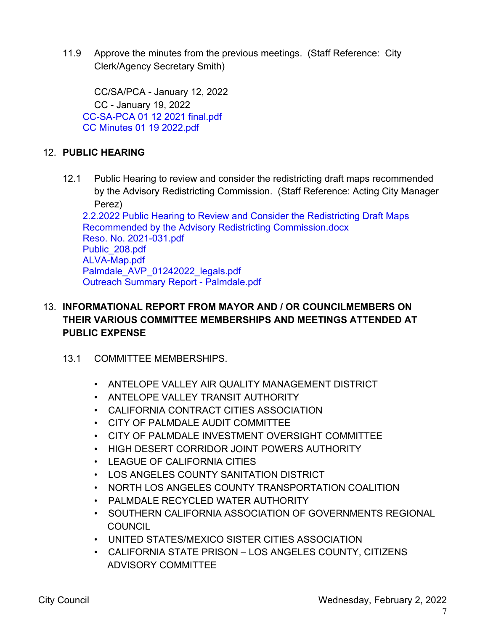11.9 Approve the minutes from the previous meetings. (Staff Reference: City Clerk/Agency Secretary Smith)

CC/SA/PCA - January 12, 2022 CC - January 19, 2022 [CC-SA-PCA](https://legistarweb-production.s3.amazonaws.com/uploads/attachment/pdf/1225770/CC-SA-PCA_01_12_2021_final.pdf) 01 12 2021 final.pdf CC Minutes 01 19 [2022.pdf](https://legistarweb-production.s3.amazonaws.com/uploads/attachment/pdf/1225395/CC_Minutes_01_19_2022.pdf)

# 12. **PUBLIC HEARING**

12.1 Public Hearing to review and consider the redistricting draft maps recommended by the Advisory Redistricting Commission. (Staff Reference: Acting City Manager Perez)

2.2.2022 Public Hearing to Review and Consider the Redistricting Draft Maps Recommended by the Advisory Redistricting [Commission.docx](https://legistarweb-production.s3.amazonaws.com/uploads/attachment/pdf/1225431/2.2.2022_Public_Hearing_to_Review_and_Consider_the_Redistricting_Draft_Maps_Recommended_by_the_Advisory_Redistricting_Commission.pdf) Reso. No. [2021-031.pdf](https://legistarweb-production.s3.amazonaws.com/uploads/attachment/pdf/1224615/Reso._No._2021-031.pdf) [Public\\_208.pdf](https://legistarweb-production.s3.amazonaws.com/uploads/attachment/pdf/1224617/Public_208.pdf) [ALVA-Map.pdf](https://legistarweb-production.s3.amazonaws.com/uploads/attachment/pdf/1224619/ALVA-Map.pdf) [Palmdale\\_AVP\\_01242022\\_legals.pdf](https://legistarweb-production.s3.amazonaws.com/uploads/attachment/pdf/1224621/Palmdale_AVP_01242022_legals.pdf) Outreach Summary Report - [Palmdale.pdf](https://legistarweb-production.s3.amazonaws.com/uploads/attachment/pdf/1224623/Outreach_Summary_Report_-_Palmdale.pdf)

# 13. **INFORMATIONAL REPORT FROM MAYOR AND / OR COUNCILMEMBERS ON THEIR VARIOUS COMMITTEE MEMBERSHIPS AND MEETINGS ATTENDED AT PUBLIC EXPENSE**

# 13.1 COMMITTEE MEMBERSHIPS.

- ANTELOPE VALLEY AIR QUALITY MANAGEMENT DISTRICT
- ANTELOPE VALLEY TRANSIT AUTHORITY
- CALIFORNIA CONTRACT CITIES ASSOCIATION
- CITY OF PALMDALE AUDIT COMMITTEE
- CITY OF PALMDALE INVESTMENT OVERSIGHT COMMITTEE
- HIGH DESERT CORRIDOR JOINT POWERS AUTHORITY
- LEAGUE OF CALIFORNIA CITIES
- LOS ANGELES COUNTY SANITATION DISTRICT
- NORTH LOS ANGELES COUNTY TRANSPORTATION COALITION
- PALMDALE RECYCLED WATER AUTHORITY
- SOUTHERN CALIFORNIA ASSOCIATION OF GOVERNMENTS REGIONAL **COUNCIL**
- UNITED STATES/MEXICO SISTER CITIES ASSOCIATION
- CALIFORNIA STATE PRISON LOS ANGELES COUNTY, CITIZENS ADVISORY COMMITTEE